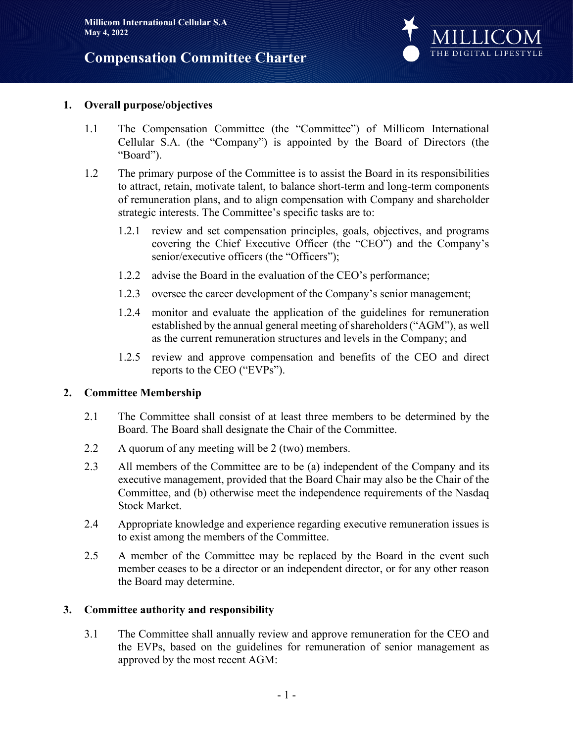## **Compensation Committee Charter**



#### **1. Overall purpose/objectives**

- 1.1 The Compensation Committee (the "Committee") of Millicom International Cellular S.A. (the "Company") is appointed by the Board of Directors (the "Board").
- 1.2 The primary purpose of the Committee is to assist the Board in its responsibilities to attract, retain, motivate talent, to balance short-term and long-term components of remuneration plans, and to align compensation with Company and shareholder strategic interests. The Committee's specific tasks are to:
	- 1.2.1 review and set compensation principles, goals, objectives, and programs covering the Chief Executive Officer (the "CEO") and the Company's senior/executive officers (the "Officers");
	- 1.2.2 advise the Board in the evaluation of the CEO's performance;
	- 1.2.3 oversee the career development of the Company's senior management;
	- 1.2.4 monitor and evaluate the application of the guidelines for remuneration established by the annual general meeting of shareholders ("AGM"), as well as the current remuneration structures and levels in the Company; and
	- 1.2.5 review and approve compensation and benefits of the CEO and direct reports to the CEO ("EVPs").

#### **2. Committee Membership**

- 2.1 The Committee shall consist of at least three members to be determined by the Board. The Board shall designate the Chair of the Committee.
- 2.2 A quorum of any meeting will be 2 (two) members.
- 2.3 All members of the Committee are to be (a) independent of the Company and its executive management, provided that the Board Chair may also be the Chair of the Committee, and (b) otherwise meet the independence requirements of the Nasdaq Stock Market.
- 2.4 Appropriate knowledge and experience regarding executive remuneration issues is to exist among the members of the Committee.
- 2.5 A member of the Committee may be replaced by the Board in the event such member ceases to be a director or an independent director, or for any other reason the Board may determine.

#### **3. Committee authority and responsibility**

3.1 The Committee shall annually review and approve remuneration for the CEO and the EVPs, based on the guidelines for remuneration of senior management as approved by the most recent AGM: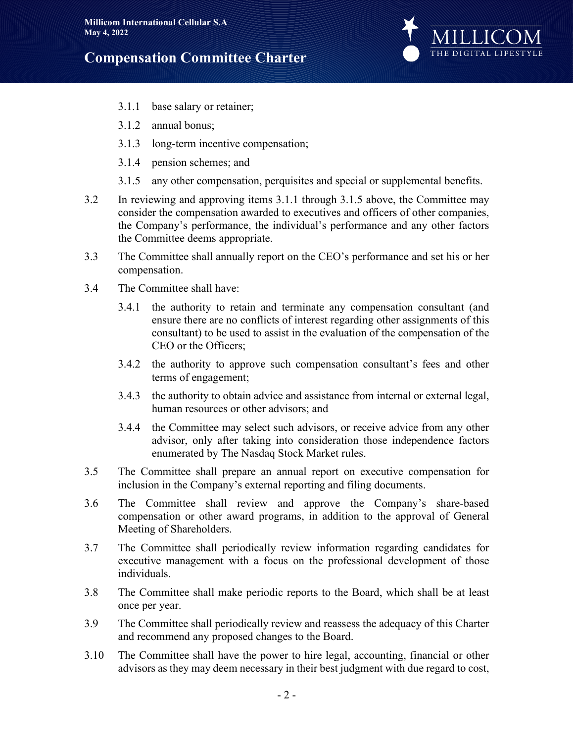# **Compensation Committee Charter**



- 3.1.1 base salary or retainer;
- 3.1.2 annual bonus;
- 3.1.3 long-term incentive compensation;
- 3.1.4 pension schemes; and
- 3.1.5 any other compensation, perquisites and special or supplemental benefits.
- 3.2 In reviewing and approving items 3.1.1 through 3.1.5 above, the Committee may consider the compensation awarded to executives and officers of other companies, the Company's performance, the individual's performance and any other factors the Committee deems appropriate.
- 3.3 The Committee shall annually report on the CEO's performance and set his or her compensation.
- 3.4 The Committee shall have:
	- 3.4.1 the authority to retain and terminate any compensation consultant (and ensure there are no conflicts of interest regarding other assignments of this consultant) to be used to assist in the evaluation of the compensation of the CEO or the Officers;
	- 3.4.2 the authority to approve such compensation consultant's fees and other terms of engagement;
	- 3.4.3 the authority to obtain advice and assistance from internal or external legal, human resources or other advisors; and
	- 3.4.4 the Committee may select such advisors, or receive advice from any other advisor, only after taking into consideration those independence factors enumerated by The Nasdaq Stock Market rules.
- 3.5 The Committee shall prepare an annual report on executive compensation for inclusion in the Company's external reporting and filing documents.
- 3.6 The Committee shall review and approve the Company's share-based compensation or other award programs, in addition to the approval of General Meeting of Shareholders.
- 3.7 The Committee shall periodically review information regarding candidates for executive management with a focus on the professional development of those individuals.
- 3.8 The Committee shall make periodic reports to the Board, which shall be at least once per year.
- 3.9 The Committee shall periodically review and reassess the adequacy of this Charter and recommend any proposed changes to the Board.
- 3.10 The Committee shall have the power to hire legal, accounting, financial or other advisors as they may deem necessary in their best judgment with due regard to cost,